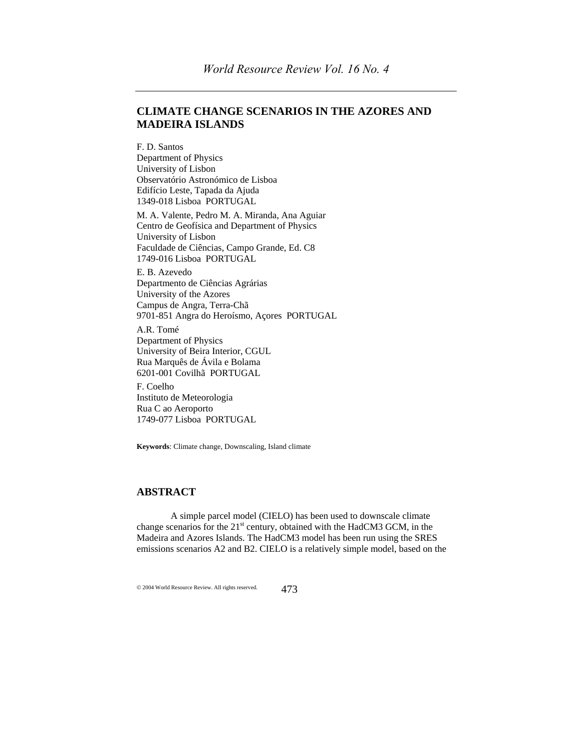# **CLIMATE CHANGE SCENARIOS IN THE AZORES AND MADEIRA ISLANDS**

F. D. Santos Department of Physics University of Lisbon Observatório Astronómico de Lisboa Edifício Leste, Tapada da Ajuda 1349-018 Lisboa PORTUGAL

M. A. Valente, Pedro M. A. Miranda, Ana Aguiar Centro de Geofísica and Department of Physics University of Lisbon Faculdade de Ciências, Campo Grande, Ed. C8 1749-016 Lisboa PORTUGAL

E. B. Azevedo Departmento de Ciências Agrárias University of the Azores Campus de Angra, Terra-Chã 9701-851 Angra do Heroísmo, Açores PORTUGAL

A.R. Tomé Department of Physics University of Beira Interior, CGUL Rua Marquês de Ávila e Bolama 6201-001 Covilhã PORTUGAL

F. Coelho Instituto de Meteorologia Rua C ao Aeroporto 1749-077 Lisboa PORTUGAL

**Keywords**: Climate change, Downscaling, Island climate

## **ABSTRACT**

A simple parcel model (CIELO) has been used to downscale climate change scenarios for the 21<sup>st</sup> century, obtained with the HadCM3 GCM, in the Madeira and Azores Islands. The HadCM3 model has been run using the SRES emissions scenarios A2 and B2. CIELO is a relatively simple model, based on the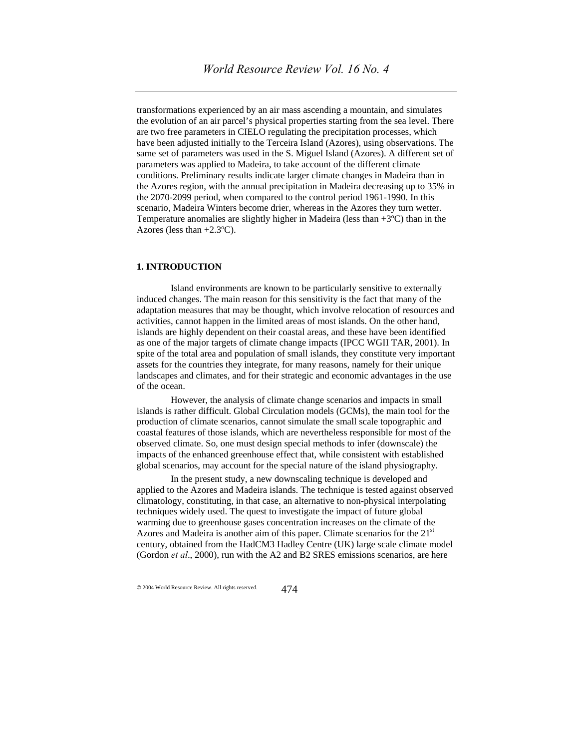transformations experienced by an air mass ascending a mountain, and simulates the evolution of an air parcel's physical properties starting from the sea level. There are two free parameters in CIELO regulating the precipitation processes, which have been adjusted initially to the Terceira Island (Azores), using observations. The same set of parameters was used in the S. Miguel Island (Azores). A different set of parameters was applied to Madeira, to take account of the different climate conditions. Preliminary results indicate larger climate changes in Madeira than in the Azores region, with the annual precipitation in Madeira decreasing up to 35% in the 2070-2099 period, when compared to the control period 1961-1990. In this scenario, Madeira Winters become drier, whereas in the Azores they turn wetter. Temperature anomalies are slightly higher in Madeira (less than  $+3^{\circ}C$ ) than in the Azores (less than  $+2.3$ °C).

#### **1. INTRODUCTION**

Island environments are known to be particularly sensitive to externally induced changes. The main reason for this sensitivity is the fact that many of the adaptation measures that may be thought, which involve relocation of resources and activities, cannot happen in the limited areas of most islands. On the other hand, islands are highly dependent on their coastal areas, and these have been identified as one of the major targets of climate change impacts (IPCC WGII TAR, 2001). In spite of the total area and population of small islands, they constitute very important assets for the countries they integrate, for many reasons, namely for their unique landscapes and climates, and for their strategic and economic advantages in the use of the ocean.

However, the analysis of climate change scenarios and impacts in small islands is rather difficult. Global Circulation models (GCMs), the main tool for the production of climate scenarios, cannot simulate the small scale topographic and coastal features of those islands, which are nevertheless responsible for most of the observed climate. So, one must design special methods to infer (downscale) the impacts of the enhanced greenhouse effect that, while consistent with established global scenarios, may account for the special nature of the island physiography.

In the present study, a new downscaling technique is developed and applied to the Azores and Madeira islands. The technique is tested against observed climatology, constituting, in that case, an alternative to non-physical interpolating techniques widely used. The quest to investigate the impact of future global warming due to greenhouse gases concentration increases on the climate of the Azores and Madeira is another aim of this paper. Climate scenarios for the  $21<sup>st</sup>$ century, obtained from the HadCM3 Hadley Centre (UK) large scale climate model (Gordon *et al*., 2000), run with the A2 and B2 SRES emissions scenarios, are here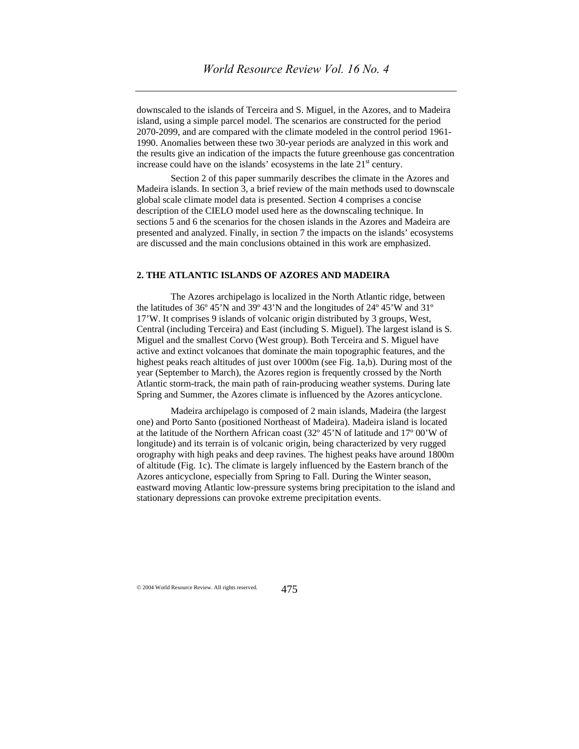downscaled to the islands of Terceira and S. Miguel, in the Azores, and to Madeira island, using a simple parcel model. The scenarios are constructed for the period 2070-2099, and are compared with the climate modeled in the control period 1961- 1990. Anomalies between these two 30-year periods are analyzed in this work and the results give an indication of the impacts the future greenhouse gas concentration increase could have on the islands' ecosystems in the late  $21<sup>st</sup>$  century.

Section 2 of this paper summarily describes the climate in the Azores and Madeira islands. In section 3, a brief review of the main methods used to downscale global scale climate model data is presented. Section 4 comprises a concise description of the CIELO model used here as the downscaling technique. In sections 5 and 6 the scenarios for the chosen islands in the Azores and Madeira are presented and analyzed. Finally, in section 7 the impacts on the islands' ecosystems are discussed and the main conclusions obtained in this work are emphasized.

## **2. THE ATLANTIC ISLANDS OF AZORES AND MADEIRA**

The Azores archipelago is localized in the North Atlantic ridge, between the latitudes of 36º 45'N and 39º 43'N and the longitudes of 24º 45'W and 31º 17'W. It comprises 9 islands of volcanic origin distributed by 3 groups, West, Central (including Terceira) and East (including S. Miguel). The largest island is S. Miguel and the smallest Corvo (West group). Both Terceira and S. Miguel have active and extinct volcanoes that dominate the main topographic features, and the highest peaks reach altitudes of just over 1000m (see Fig. 1a,b). During most of the year (September to March), the Azores region is frequently crossed by the North Atlantic storm-track, the main path of rain-producing weather systems. During late Spring and Summer, the Azores climate is influenced by the Azores anticyclone.

Madeira archipelago is composed of 2 main islands, Madeira (the largest one) and Porto Santo (positioned Northeast of Madeira). Madeira island is located at the latitude of the Northern African coast (32º 45'N of latitude and 17º 00'W of longitude) and its terrain is of volcanic origin, being characterized by very rugged orography with high peaks and deep ravines. The highest peaks have around 1800m of altitude (Fig. 1c). The climate is largely influenced by the Eastern branch of the Azores anticyclone, especially from Spring to Fall. During the Winter season, eastward moving Atlantic low-pressure systems bring precipitation to the island and stationary depressions can provoke extreme precipitation events.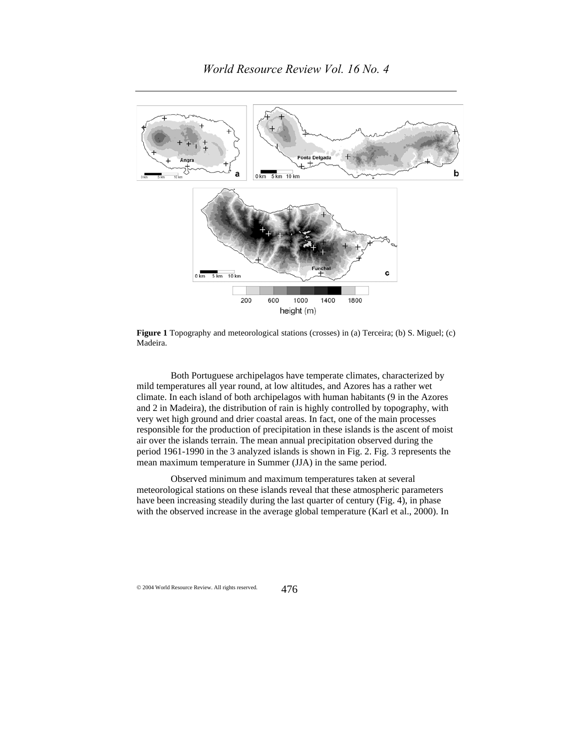

**Figure 1** Topography and meteorological stations (crosses) in (a) Terceira; (b) S. Miguel; (c) Madeira.

Both Portuguese archipelagos have temperate climates, characterized by mild temperatures all year round, at low altitudes, and Azores has a rather wet climate. In each island of both archipelagos with human habitants (9 in the Azores and 2 in Madeira), the distribution of rain is highly controlled by topography, with very wet high ground and drier coastal areas. In fact, one of the main processes responsible for the production of precipitation in these islands is the ascent of moist air over the islands terrain. The mean annual precipitation observed during the period 1961-1990 in the 3 analyzed islands is shown in Fig. 2. Fig. 3 represents the mean maximum temperature in Summer (JJA) in the same period.

Observed minimum and maximum temperatures taken at several meteorological stations on these islands reveal that these atmospheric parameters have been increasing steadily during the last quarter of century (Fig. 4), in phase with the observed increase in the average global temperature (Karl et al., 2000). In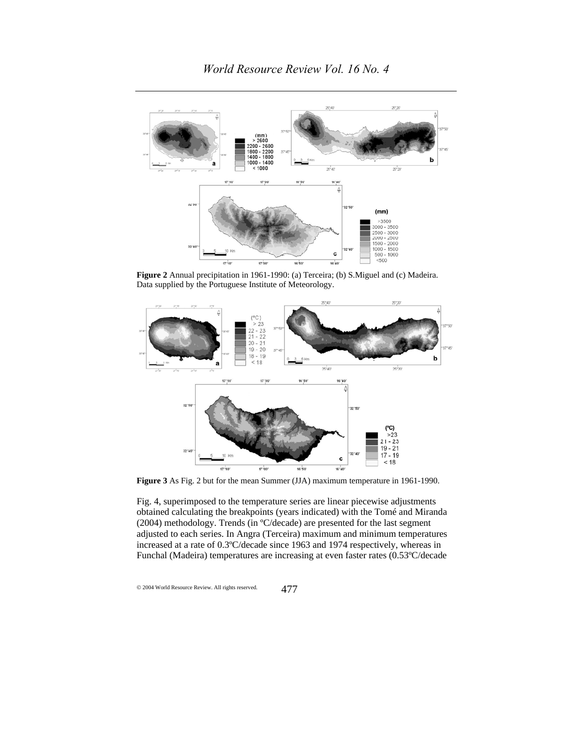

**Figure 2** Annual precipitation in 1961-1990: (a) Terceira; (b) S.Miguel and (c) Madeira. Data supplied by the Portuguese Institute of Meteorology.



**Figure 3** As Fig. 2 but for the mean Summer (JJA) maximum temperature in 1961-1990.

Fig. 4, superimposed to the temperature series are linear piecewise adjustments obtained calculating the breakpoints (years indicated) with the Tomé and Miranda (2004) methodology. Trends (in ºC/decade) are presented for the last segment adjusted to each series. In Angra (Terceira) maximum and minimum temperatures increased at a rate of 0.3ºC/decade since 1963 and 1974 respectively, whereas in Funchal (Madeira) temperatures are increasing at even faster rates (0.53ºC/decade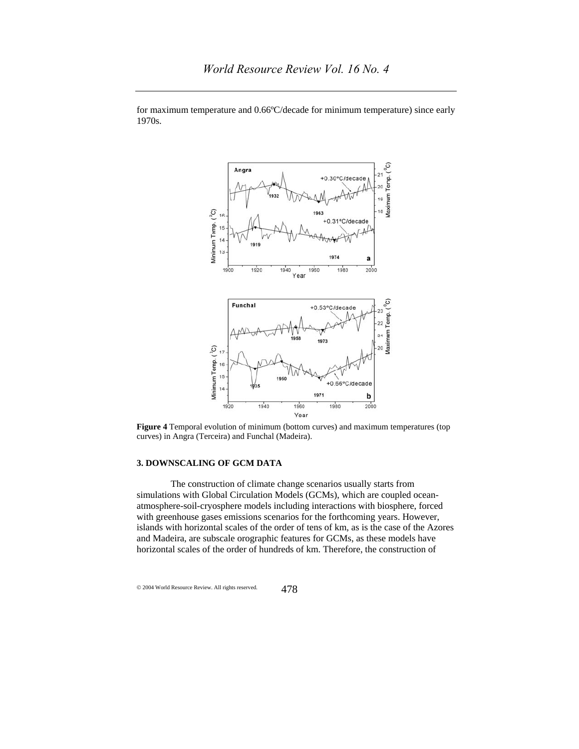

for maximum temperature and 0.66ºC/decade for minimum temperature) since early 1970s.

**Figure 4** Temporal evolution of minimum (bottom curves) and maximum temperatures (top curves) in Angra (Terceira) and Funchal (Madeira).

## **3. DOWNSCALING OF GCM DATA**

The construction of climate change scenarios usually starts from simulations with Global Circulation Models (GCMs), which are coupled oceanatmosphere-soil-cryosphere models including interactions with biosphere, forced with greenhouse gases emissions scenarios for the forthcoming years. However, islands with horizontal scales of the order of tens of km, as is the case of the Azores and Madeira, are subscale orographic features for GCMs, as these models have horizontal scales of the order of hundreds of km. Therefore, the construction of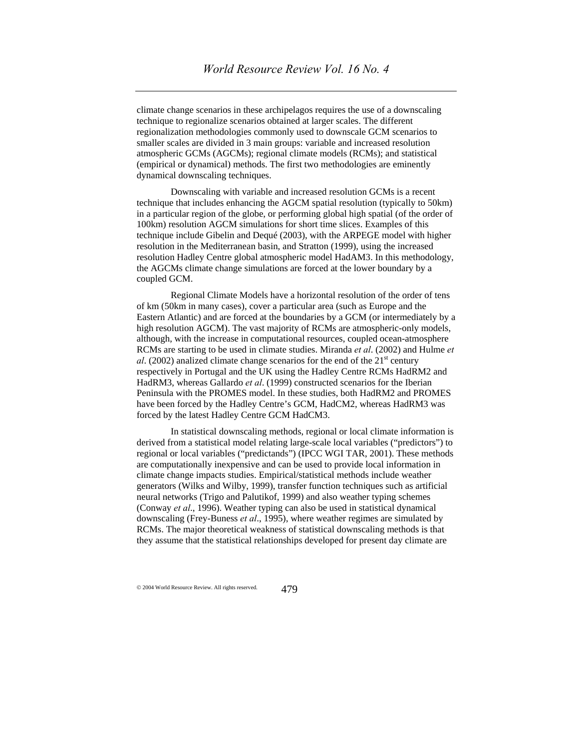climate change scenarios in these archipelagos requires the use of a downscaling technique to regionalize scenarios obtained at larger scales. The different regionalization methodologies commonly used to downscale GCM scenarios to smaller scales are divided in 3 main groups: variable and increased resolution atmospheric GCMs (AGCMs); regional climate models (RCMs); and statistical (empirical or dynamical) methods. The first two methodologies are eminently dynamical downscaling techniques.

Downscaling with variable and increased resolution GCMs is a recent technique that includes enhancing the AGCM spatial resolution (typically to 50km) in a particular region of the globe, or performing global high spatial (of the order of 100km) resolution AGCM simulations for short time slices. Examples of this technique include Gibelin and Dequé (2003), with the ARPEGE model with higher resolution in the Mediterranean basin, and Stratton (1999), using the increased resolution Hadley Centre global atmospheric model HadAM3. In this methodology, the AGCMs climate change simulations are forced at the lower boundary by a coupled GCM.

Regional Climate Models have a horizontal resolution of the order of tens of km (50km in many cases), cover a particular area (such as Europe and the Eastern Atlantic) and are forced at the boundaries by a GCM (or intermediately by a high resolution AGCM). The vast majority of RCMs are atmospheric-only models, although, with the increase in computational resources, coupled ocean-atmosphere RCMs are starting to be used in climate studies. Miranda *et al*. (2002) and Hulme *et al.* (2002) analized climate change scenarios for the end of the  $21<sup>st</sup>$  century respectively in Portugal and the UK using the Hadley Centre RCMs HadRM2 and HadRM3, whereas Gallardo *et al*. (1999) constructed scenarios for the Iberian Peninsula with the PROMES model. In these studies, both HadRM2 and PROMES have been forced by the Hadley Centre's GCM, HadCM2, whereas HadRM3 was forced by the latest Hadley Centre GCM HadCM3.

In statistical downscaling methods, regional or local climate information is derived from a statistical model relating large-scale local variables ("predictors") to regional or local variables ("predictands") (IPCC WGI TAR, 2001). These methods are computationally inexpensive and can be used to provide local information in climate change impacts studies. Empirical/statistical methods include weather generators (Wilks and Wilby, 1999), transfer function techniques such as artificial neural networks (Trigo and Palutikof, 1999) and also weather typing schemes (Conway *et al*., 1996). Weather typing can also be used in statistical dynamical downscaling (Frey-Buness *et al*., 1995), where weather regimes are simulated by RCMs. The major theoretical weakness of statistical downscaling methods is that they assume that the statistical relationships developed for present day climate are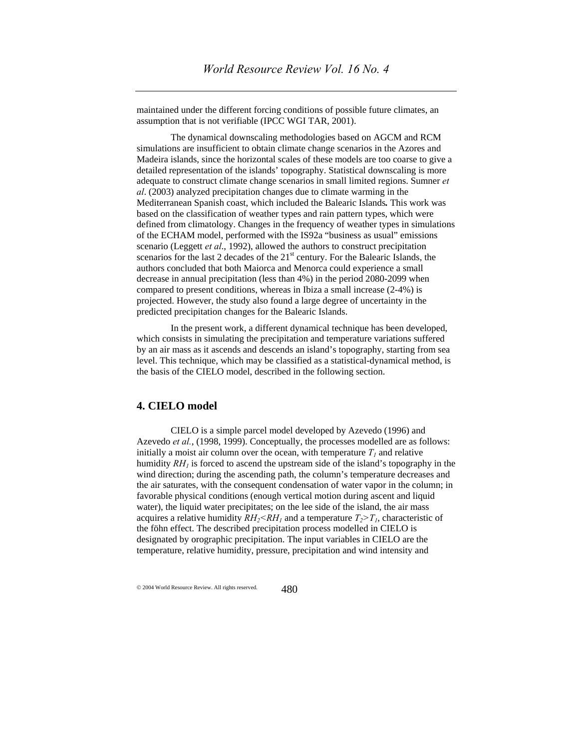maintained under the different forcing conditions of possible future climates, an assumption that is not verifiable (IPCC WGI TAR, 2001).

The dynamical downscaling methodologies based on AGCM and RCM simulations are insufficient to obtain climate change scenarios in the Azores and Madeira islands, since the horizontal scales of these models are too coarse to give a detailed representation of the islands' topography. Statistical downscaling is more adequate to construct climate change scenarios in small limited regions. Sumner *et al*. (2003) analyzed precipitation changes due to climate warming in the Mediterranean Spanish coast, which included the Balearic Islands*.* This work was based on the classification of weather types and rain pattern types, which were defined from climatology. Changes in the frequency of weather types in simulations of the ECHAM model, performed with the IS92a "business as usual" emissions scenario (Leggett *et al*., 1992), allowed the authors to construct precipitation scenarios for the last 2 decades of the  $21<sup>st</sup>$  century. For the Balearic Islands, the authors concluded that both Maiorca and Menorca could experience a small decrease in annual precipitation (less than 4%) in the period 2080-2099 when compared to present conditions, whereas in Ibiza a small increase (2-4%) is projected. However, the study also found a large degree of uncertainty in the predicted precipitation changes for the Balearic Islands.

In the present work, a different dynamical technique has been developed, which consists in simulating the precipitation and temperature variations suffered by an air mass as it ascends and descends an island's topography, starting from sea level. This technique, which may be classified as a statistical-dynamical method, is the basis of the CIELO model, described in the following section.

## **4. CIELO model**

CIELO is a simple parcel model developed by Azevedo (1996) and Azevedo *et al.*, (1998, 1999). Conceptually, the processes modelled are as follows: initially a moist air column over the ocean, with temperature  $T<sub>l</sub>$  and relative humidity  $RH_1$  is forced to ascend the upstream side of the island's topography in the wind direction; during the ascending path, the column's temperature decreases and the air saturates, with the consequent condensation of water vapor in the column; in favorable physical conditions (enough vertical motion during ascent and liquid water), the liquid water precipitates; on the lee side of the island, the air mass acquires a relative humidity  $RH_2 \leq RH_1$  and a temperature  $T_2 \geq T_1$ , characteristic of the föhn effect. The described precipitation process modelled in CIELO is designated by orographic precipitation. The input variables in CIELO are the temperature, relative humidity, pressure, precipitation and wind intensity and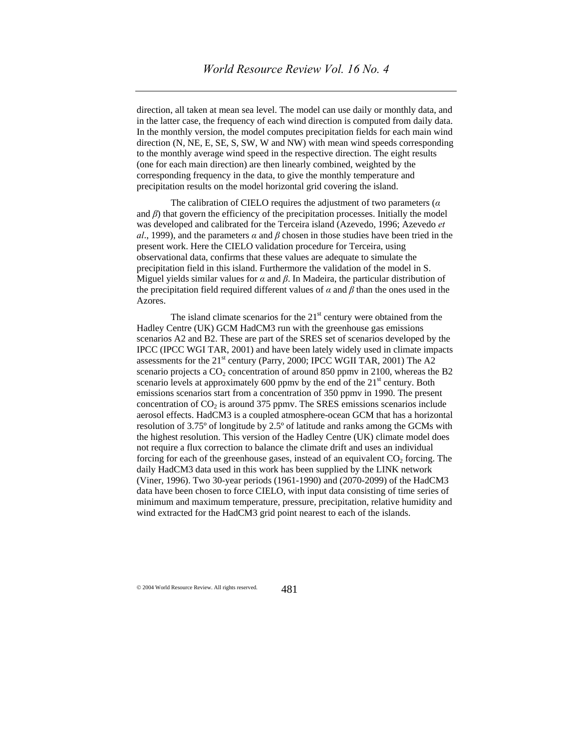direction, all taken at mean sea level. The model can use daily or monthly data, and in the latter case, the frequency of each wind direction is computed from daily data. In the monthly version, the model computes precipitation fields for each main wind direction (N, NE, E, SE, S, SW, W and NW) with mean wind speeds corresponding to the monthly average wind speed in the respective direction. The eight results (one for each main direction) are then linearly combined, weighted by the corresponding frequency in the data, to give the monthly temperature and precipitation results on the model horizontal grid covering the island.

The calibration of CIELO requires the adjustment of two parameters (*α* and  $\beta$ ) that govern the efficiency of the precipitation processes. Initially the model was developed and calibrated for the Terceira island (Azevedo, 1996; Azevedo *et al*., 1999), and the parameters *α* and *β* chosen in those studies have been tried in the present work. Here the CIELO validation procedure for Terceira, using observational data, confirms that these values are adequate to simulate the precipitation field in this island. Furthermore the validation of the model in S. Miguel yields similar values for *α* and *β*. In Madeira, the particular distribution of the precipitation field required different values of  $\alpha$  and  $\beta$  than the ones used in the Azores.

The island climate scenarios for the  $21<sup>st</sup>$  century were obtained from the Hadley Centre (UK) GCM HadCM3 run with the greenhouse gas emissions scenarios A2 and B2. These are part of the SRES set of scenarios developed by the IPCC (IPCC WGI TAR, 2001) and have been lately widely used in climate impacts assessments for the 21<sup>st</sup> century (Parry, 2000; IPCC WGII TAR, 2001) The A2 scenario projects a  $CO<sub>2</sub>$  concentration of around 850 ppmv in 2100, whereas the B2 scenario levels at approximately  $600$  ppmv by the end of the  $21<sup>st</sup>$  century. Both emissions scenarios start from a concentration of 350 ppmv in 1990. The present concentration of  $CO<sub>2</sub>$  is around 375 ppmv. The SRES emissions scenarios include aerosol effects. HadCM3 is a coupled atmosphere-ocean GCM that has a horizontal resolution of 3.75º of longitude by 2.5º of latitude and ranks among the GCMs with the highest resolution. This version of the Hadley Centre (UK) climate model does not require a flux correction to balance the climate drift and uses an individual forcing for each of the greenhouse gases, instead of an equivalent  $CO<sub>2</sub>$  forcing. The daily HadCM3 data used in this work has been supplied by the LINK network (Viner, 1996). Two 30-year periods (1961-1990) and (2070-2099) of the HadCM3 data have been chosen to force CIELO, with input data consisting of time series of minimum and maximum temperature, pressure, precipitation, relative humidity and wind extracted for the HadCM3 grid point nearest to each of the islands.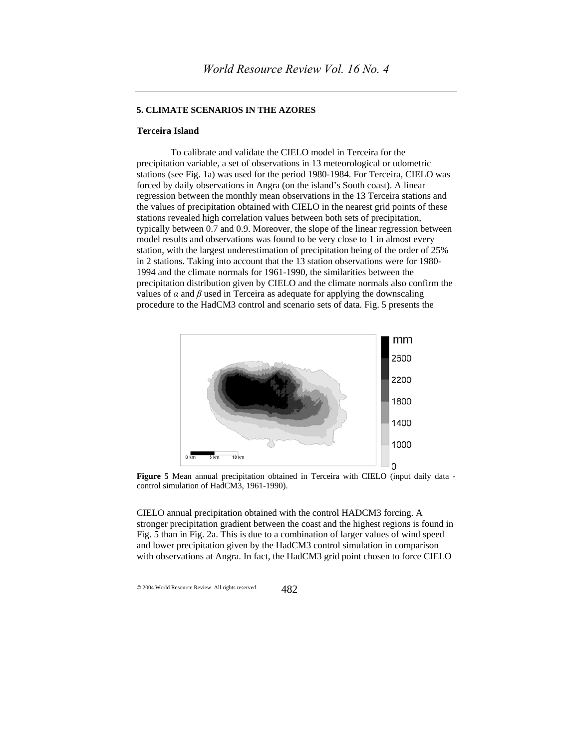#### **5. CLIMATE SCENARIOS IN THE AZORES**

## **Terceira Island**

To calibrate and validate the CIELO model in Terceira for the precipitation variable, a set of observations in 13 meteorological or udometric stations (see Fig. 1a) was used for the period 1980-1984. For Terceira, CIELO was forced by daily observations in Angra (on the island's South coast). A linear regression between the monthly mean observations in the 13 Terceira stations and the values of precipitation obtained with CIELO in the nearest grid points of these stations revealed high correlation values between both sets of precipitation, typically between 0.7 and 0.9. Moreover, the slope of the linear regression between model results and observations was found to be very close to 1 in almost every station, with the largest underestimation of precipitation being of the order of 25% in 2 stations. Taking into account that the 13 station observations were for 1980- 1994 and the climate normals for 1961-1990, the similarities between the precipitation distribution given by CIELO and the climate normals also confirm the values of  $\alpha$  and  $\beta$  used in Terceira as adequate for applying the downscaling procedure to the HadCM3 control and scenario sets of data. Fig. 5 presents the



**Figure 5** Mean annual precipitation obtained in Terceira with CIELO (input daily data control simulation of HadCM3, 1961-1990).

CIELO annual precipitation obtained with the control HADCM3 forcing. A stronger precipitation gradient between the coast and the highest regions is found in Fig. 5 than in Fig. 2a. This is due to a combination of larger values of wind speed and lower precipitation given by the HadCM3 control simulation in comparison with observations at Angra. In fact, the HadCM3 grid point chosen to force CIELO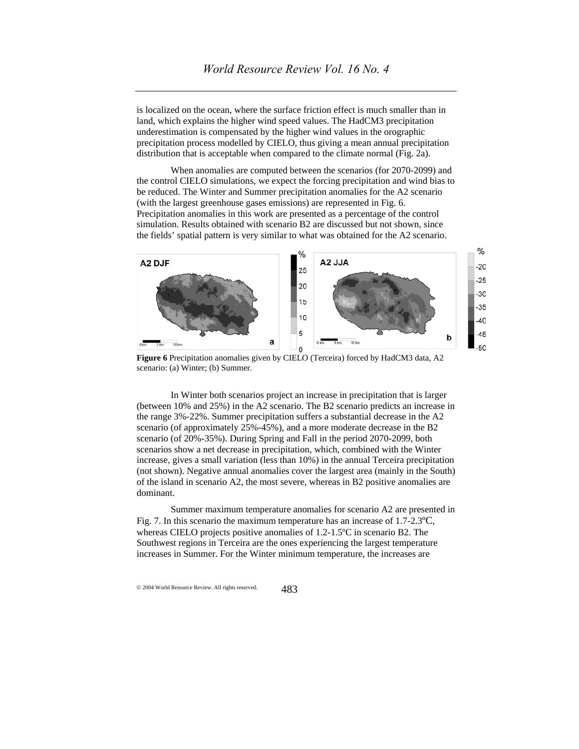is localized on the ocean, where the surface friction effect is much smaller than in land, which explains the higher wind speed values. The HadCM3 precipitation underestimation is compensated by the higher wind values in the orographic precipitation process modelled by CIELO, thus giving a mean annual precipitation distribution that is acceptable when compared to the climate normal (Fig. 2a).

When anomalies are computed between the scenarios (for 2070-2099) and the control CIELO simulations, we expect the forcing precipitation and wind bias to be reduced. The Winter and Summer precipitation anomalies for the A2 scenario (with the largest greenhouse gases emissions) are represented in Fig. 6. Precipitation anomalies in this work are presented as a percentage of the control simulation. Results obtained with scenario B2 are discussed but not shown, since the fields' spatial pattern is very similar to what was obtained for the A2 scenario.



**Figure 6** Precipitation anomalies given by CIELO (Terceira) forced by HadCM3 data, A2 scenario: (a) Winter; (b) Summer.

In Winter both scenarios project an increase in precipitation that is larger (between 10% and 25%) in the A2 scenario. The B2 scenario predicts an increase in the range 3%-22%. Summer precipitation suffers a substantial decrease in the A2 scenario (of approximately 25%-45%), and a more moderate decrease in the B2 scenario (of 20%-35%). During Spring and Fall in the period 2070-2099, both scenarios show a net decrease in precipitation, which, combined with the Winter increase, gives a small variation (less than 10%) in the annual Terceira precipitation (not shown). Negative annual anomalies cover the largest area (mainly in the South) of the island in scenario A2, the most severe, whereas in B2 positive anomalies are dominant.

Summer maximum temperature anomalies for scenario A2 are presented in Fig. 7. In this scenario the maximum temperature has an increase of  $1.7$ - $2.3^{\circ}$ C, whereas CIELO projects positive anomalies of 1.2-1.5ºC in scenario B2. The Southwest regions in Terceira are the ones experiencing the largest temperature increases in Summer. For the Winter minimum temperature, the increases are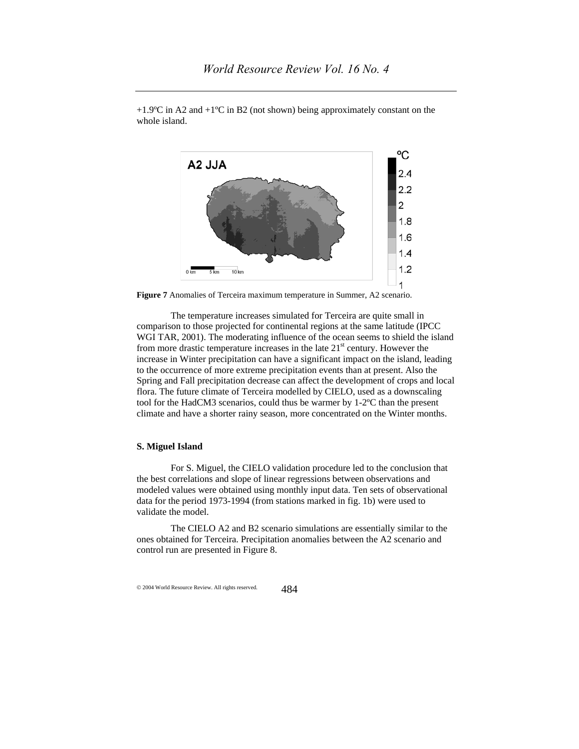

 $+1.9^{\circ}$ C in A2 and  $+1^{\circ}$ C in B2 (not shown) being approximately constant on the whole island.

**Figure 7** Anomalies of Terceira maximum temperature in Summer, A2 scenario.

The temperature increases simulated for Terceira are quite small in comparison to those projected for continental regions at the same latitude (IPCC WGI TAR, 2001). The moderating influence of the ocean seems to shield the island from more drastic temperature increases in the late  $21<sup>st</sup>$  century. However the increase in Winter precipitation can have a significant impact on the island, leading to the occurrence of more extreme precipitation events than at present. Also the Spring and Fall precipitation decrease can affect the development of crops and local flora. The future climate of Terceira modelled by CIELO, used as a downscaling tool for the HadCM3 scenarios, could thus be warmer by 1-2ºC than the present climate and have a shorter rainy season, more concentrated on the Winter months.

### **S. Miguel Island**

For S. Miguel, the CIELO validation procedure led to the conclusion that the best correlations and slope of linear regressions between observations and modeled values were obtained using monthly input data. Ten sets of observational data for the period 1973-1994 (from stations marked in fig. 1b) were used to validate the model.

The CIELO A2 and B2 scenario simulations are essentially similar to the ones obtained for Terceira. Precipitation anomalies between the A2 scenario and control run are presented in Figure 8.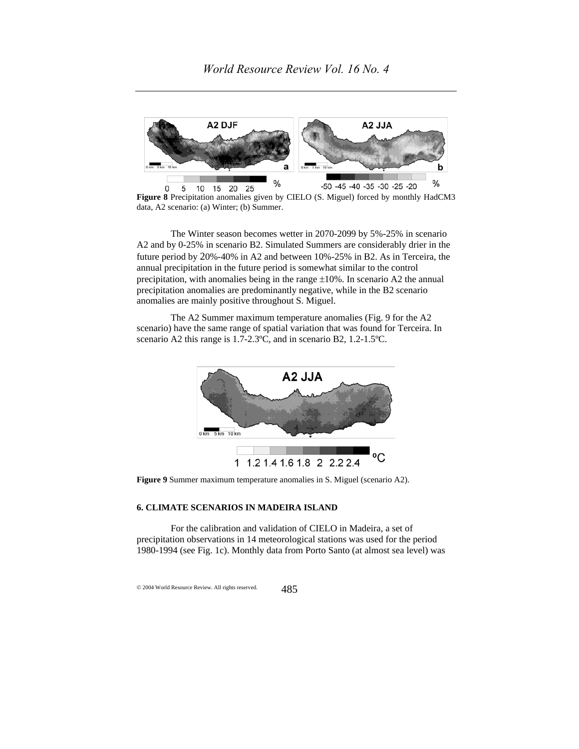

**Figure 8** Precipitation anomalies given by CIELO (S. Miguel) forced by monthly HadCM3 data, A2 scenario: (a) Winter; (b) Summer.

The Winter season becomes wetter in 2070-2099 by 5%-25% in scenario A2 and by 0-25% in scenario B2. Simulated Summers are considerably drier in the future period by 20%-40% in A2 and between 10%-25% in B2. As in Terceira, the annual precipitation in the future period is somewhat similar to the control precipitation, with anomalies being in the range  $\pm 10\%$ . In scenario A2 the annual precipitation anomalies are predominantly negative, while in the B2 scenario anomalies are mainly positive throughout S. Miguel.

The A2 Summer maximum temperature anomalies (Fig. 9 for the A2 scenario) have the same range of spatial variation that was found for Terceira. In scenario A2 this range is 1.7-2.3ºC, and in scenario B2, 1.2-1.5ºC.



**Figure 9** Summer maximum temperature anomalies in S. Miguel (scenario A2).

## **6. CLIMATE SCENARIOS IN MADEIRA ISLAND**

For the calibration and validation of CIELO in Madeira, a set of precipitation observations in 14 meteorological stations was used for the period 1980-1994 (see Fig. 1c). Monthly data from Porto Santo (at almost sea level) was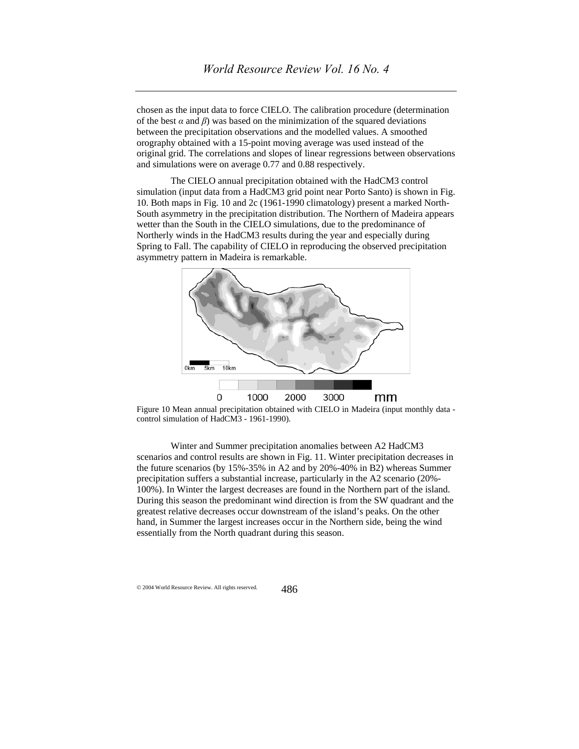chosen as the input data to force CIELO. The calibration procedure (determination of the best  $\alpha$  and  $\beta$ ) was based on the minimization of the squared deviations between the precipitation observations and the modelled values. A smoothed orography obtained with a 15-point moving average was used instead of the original grid. The correlations and slopes of linear regressions between observations and simulations were on average 0.77 and 0.88 respectively.

The CIELO annual precipitation obtained with the HadCM3 control simulation (input data from a HadCM3 grid point near Porto Santo) is shown in Fig. 10. Both maps in Fig. 10 and 2c (1961-1990 climatology) present a marked North-South asymmetry in the precipitation distribution. The Northern of Madeira appears wetter than the South in the CIELO simulations, due to the predominance of Northerly winds in the HadCM3 results during the year and especially during Spring to Fall. The capability of CIELO in reproducing the observed precipitation asymmetry pattern in Madeira is remarkable.



Figure 10 Mean annual precipitation obtained with CIELO in Madeira (input monthly data control simulation of HadCM3 - 1961-1990).

Winter and Summer precipitation anomalies between A2 HadCM3 scenarios and control results are shown in Fig. 11. Winter precipitation decreases in the future scenarios (by 15%-35% in A2 and by 20%-40% in B2) whereas Summer precipitation suffers a substantial increase, particularly in the A2 scenario (20%- 100%). In Winter the largest decreases are found in the Northern part of the island. During this season the predominant wind direction is from the SW quadrant and the greatest relative decreases occur downstream of the island's peaks. On the other hand, in Summer the largest increases occur in the Northern side, being the wind essentially from the North quadrant during this season.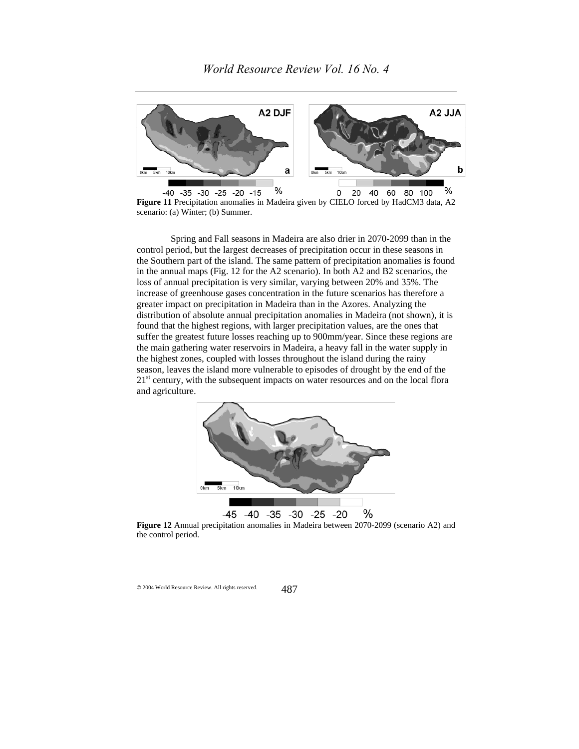

**Figure 11** Precipitation anomalies in Madeira given by CIELO forced by HadCM3 data, A2 scenario: (a) Winter; (b) Summer.

Spring and Fall seasons in Madeira are also drier in 2070-2099 than in the control period, but the largest decreases of precipitation occur in these seasons in the Southern part of the island. The same pattern of precipitation anomalies is found in the annual maps (Fig. 12 for the A2 scenario). In both A2 and B2 scenarios, the loss of annual precipitation is very similar, varying between 20% and 35%. The increase of greenhouse gases concentration in the future scenarios has therefore a greater impact on precipitation in Madeira than in the Azores. Analyzing the distribution of absolute annual precipitation anomalies in Madeira (not shown), it is found that the highest regions, with larger precipitation values, are the ones that suffer the greatest future losses reaching up to 900mm/year. Since these regions are the main gathering water reservoirs in Madeira, a heavy fall in the water supply in the highest zones, coupled with losses throughout the island during the rainy season, leaves the island more vulnerable to episodes of drought by the end of the  $21<sup>st</sup>$  century, with the subsequent impacts on water resources and on the local flora and agriculture.



**Figure 12** Annual precipitation anomalies in Madeira between 2070-2099 (scenario A2) and the control period.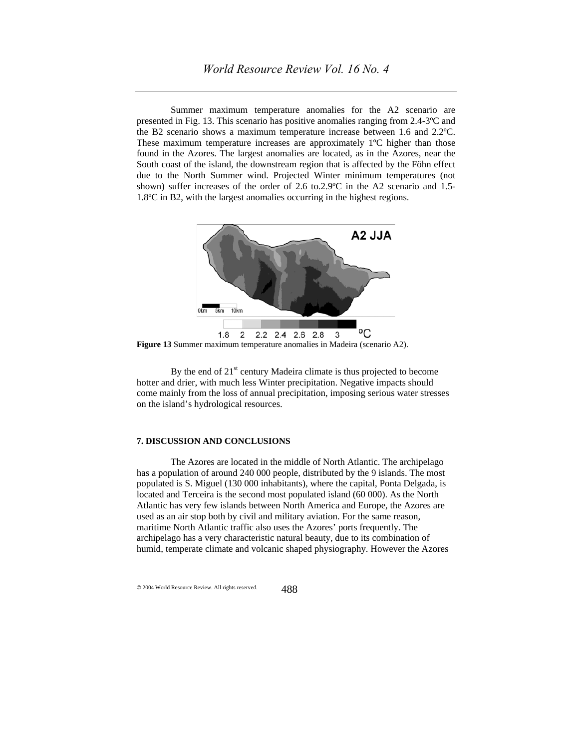Summer maximum temperature anomalies for the A2 scenario are presented in Fig. 13. This scenario has positive anomalies ranging from 2.4-3ºC and the B2 scenario shows a maximum temperature increase between 1.6 and 2.2ºC. These maximum temperature increases are approximately 1ºC higher than those found in the Azores. The largest anomalies are located, as in the Azores, near the South coast of the island, the downstream region that is affected by the Föhn effect due to the North Summer wind. Projected Winter minimum temperatures (not shown) suffer increases of the order of 2.6 to.2.9ºC in the A2 scenario and 1.5- 1.8ºC in B2, with the largest anomalies occurring in the highest regions.



**Figure 13** Summer maximum temperature anomalies in Madeira (scenario A2).

By the end of  $21<sup>st</sup>$  century Madeira climate is thus projected to become hotter and drier, with much less Winter precipitation. Negative impacts should come mainly from the loss of annual precipitation, imposing serious water stresses on the island's hydrological resources.

#### **7. DISCUSSION AND CONCLUSIONS**

The Azores are located in the middle of North Atlantic. The archipelago has a population of around 240 000 people, distributed by the 9 islands. The most populated is S. Miguel (130 000 inhabitants), where the capital, Ponta Delgada, is located and Terceira is the second most populated island (60 000). As the North Atlantic has very few islands between North America and Europe, the Azores are used as an air stop both by civil and military aviation. For the same reason, maritime North Atlantic traffic also uses the Azores' ports frequently. The archipelago has a very characteristic natural beauty, due to its combination of humid, temperate climate and volcanic shaped physiography. However the Azores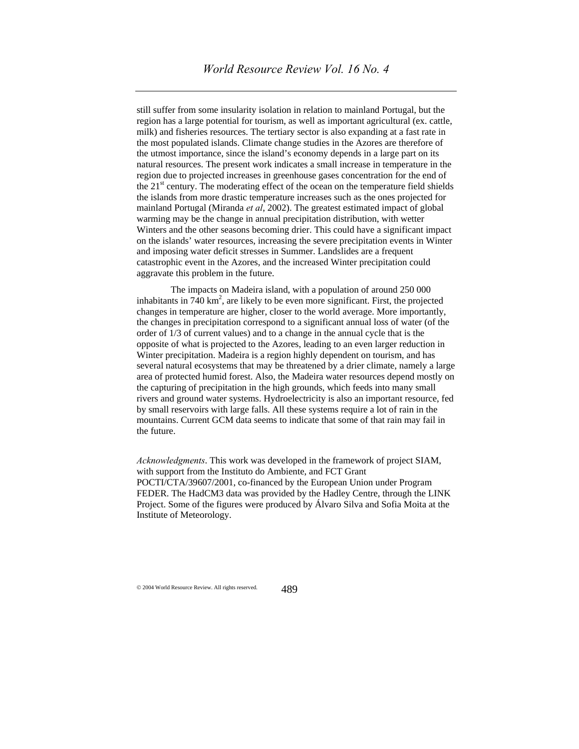still suffer from some insularity isolation in relation to mainland Portugal, but the region has a large potential for tourism, as well as important agricultural (ex. cattle, milk) and fisheries resources. The tertiary sector is also expanding at a fast rate in the most populated islands. Climate change studies in the Azores are therefore of the utmost importance, since the island's economy depends in a large part on its natural resources. The present work indicates a small increase in temperature in the region due to projected increases in greenhouse gases concentration for the end of the 21<sup>st</sup> century. The moderating effect of the ocean on the temperature field shields the islands from more drastic temperature increases such as the ones projected for mainland Portugal (Miranda *et al*, 2002). The greatest estimated impact of global warming may be the change in annual precipitation distribution, with wetter Winters and the other seasons becoming drier. This could have a significant impact on the islands' water resources, increasing the severe precipitation events in Winter and imposing water deficit stresses in Summer. Landslides are a frequent catastrophic event in the Azores, and the increased Winter precipitation could aggravate this problem in the future.

The impacts on Madeira island, with a population of around 250 000 inhabitants in  $740 \text{ km}^2$ , are likely to be even more significant. First, the projected changes in temperature are higher, closer to the world average. More importantly, the changes in precipitation correspond to a significant annual loss of water (of the order of 1/3 of current values) and to a change in the annual cycle that is the opposite of what is projected to the Azores, leading to an even larger reduction in Winter precipitation. Madeira is a region highly dependent on tourism, and has several natural ecosystems that may be threatened by a drier climate, namely a large area of protected humid forest. Also, the Madeira water resources depend mostly on the capturing of precipitation in the high grounds, which feeds into many small rivers and ground water systems. Hydroelectricity is also an important resource, fed by small reservoirs with large falls. All these systems require a lot of rain in the mountains. Current GCM data seems to indicate that some of that rain may fail in the future.

*Acknowledgments*. This work was developed in the framework of project SIAM, with support from the Instituto do Ambiente, and FCT Grant POCTI/CTA/39607/2001, co-financed by the European Union under Program FEDER. The HadCM3 data was provided by the Hadley Centre, through the LINK Project. Some of the figures were produced by Álvaro Silva and Sofia Moita at the Institute of Meteorology.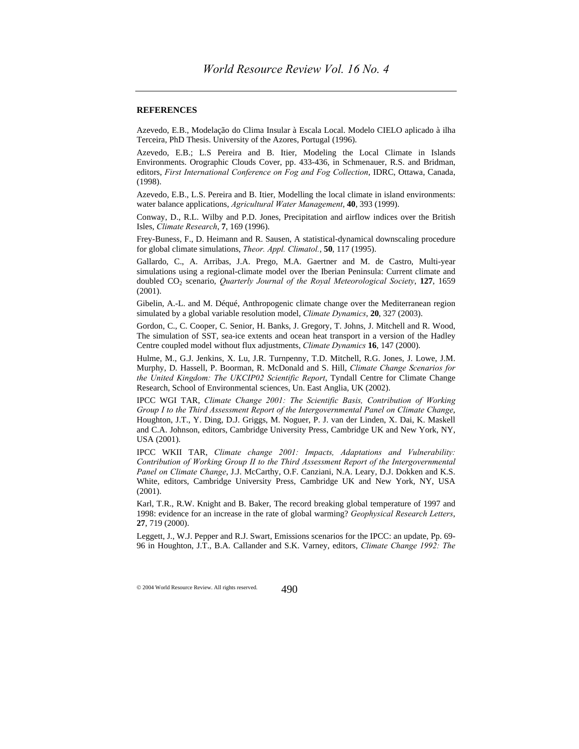#### **REFERENCES**

Azevedo, E.B., Modelação do Clima Insular à Escala Local. Modelo CIELO aplicado à ilha Terceira, PhD Thesis. University of the Azores, Portugal (1996).

Azevedo, E.B.; L.S Pereira and B. Itier, Modeling the Local Climate in Islands Environments. Orographic Clouds Cover, pp. 433-436, in Schmenauer, R.S. and Bridman, editors, *First International Conference on Fog and Fog Collection*, IDRC, Ottawa, Canada, (1998).

Azevedo, E.B., L.S. Pereira and B. Itier, Modelling the local climate in island environments: water balance applications, *Agricultural Water Management*, **40**, 393 (1999).

Conway, D., R.L. Wilby and P.D. Jones, Precipitation and airflow indices over the British Isles, *Climate Research*, **7**, 169 (1996).

Frey-Buness, F., D. Heimann and R. Sausen, A statistical-dynamical downscaling procedure for global climate simulations, *Theor. Appl. Climatol.*, **50**, 117 (1995).

Gallardo, C., A. Arribas, J.A. Prego, M.A. Gaertner and M. de Castro, Multi-year simulations using a regional-climate model over the Iberian Peninsula: Current climate and doubled CO2 scenario, *Quarterly Journal of the Royal Meteorological Society*, **127**, 1659 (2001).

Gibelin, A.-L. and M. Déqué, Anthropogenic climate change over the Mediterranean region simulated by a global variable resolution model, *Climate Dynamics*, **20**, 327 (2003).

Gordon, C., C. Cooper, C. Senior, H. Banks, J. Gregory, T. Johns, J. Mitchell and R. Wood, The simulation of SST, sea-ice extents and ocean heat transport in a version of the Hadley Centre coupled model without flux adjustments, *Climate Dynamics* **16**, 147 (2000).

Hulme, M., G.J. Jenkins, X. Lu, J.R. Turnpenny, T.D. Mitchell, R.G. Jones, J. Lowe, J.M. Murphy, D. Hassell, P. Boorman, R. McDonald and S. Hill, *Climate Change Scenarios for the United Kingdom: The UKCIP02 Scientific Report*, Tyndall Centre for Climate Change Research, School of Environmental sciences, Un. East Anglia, UK (2002).

IPCC WGI TAR, *Climate Change 2001: The Scientific Basis, Contribution of Working Group I to the Third Assessment Report of the Intergovernmental Panel on Climate Change*, Houghton, J.T., Y. Ding, D.J. Griggs, M. Noguer, P. J. van der Linden, X. Dai, K. Maskell and C.A. Johnson, editors, Cambridge University Press, Cambridge UK and New York, NY, USA (2001).

IPCC WKII TAR, *Climate change 2001: Impacts, Adaptations and Vulnerability: Contribution of Working Group II to the Third Assessment Report of the Intergovernmental Panel on Climate Change*, J.J. McCarthy, O.F. Canziani, N.A. Leary, D.J. Dokken and K.S. White, editors, Cambridge University Press, Cambridge UK and New York, NY, USA (2001).

Karl, T.R., R.W. Knight and B. Baker, The record breaking global temperature of 1997 and 1998: evidence for an increase in the rate of global warming? *Geophysical Research Letters*, **27**, 719 (2000).

Leggett, J., W.J. Pepper and R.J. Swart, Emissions scenarios for the IPCC: an update, Pp. 69- 96 in Houghton, J.T., B.A. Callander and S.K. Varney, editors, *Climate Change 1992: The*